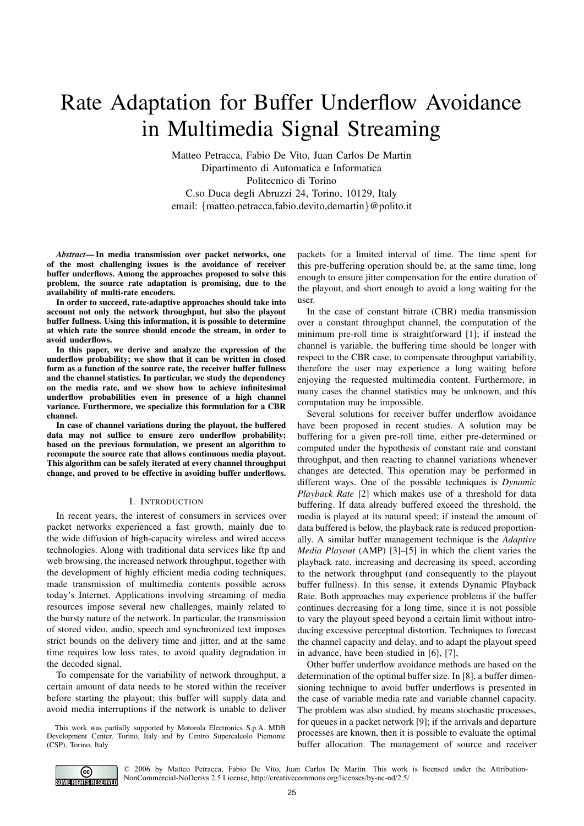# Rate Adaptation for Buffer Underflow Avoidance in Multimedia Signal Streaming

Matteo Petracca, Fabio De Vito, Juan Carlos De Martin Dipartimento di Automatica e Informatica Politecnico di Torino C.so Duca degli Abruzzi 24, Torino, 10129, Italy email: {matteo.petracca,fabio.devito,demartin}@polito.it

*Abstract***— In media transmission over packet networks, one of the most challenging issues is the avoidance of receiver buffer underflows. Among the approaches proposed to solve this problem, the source rate adaptation is promising, due to the availability of multi-rate encoders.**

**In order to succeed, rate-adaptive approaches should take into account not only the network throughput, but also the playout buffer fullness. Using this information, it is possible to determine at which rate the source should encode the stream, in order to avoid underflows.**

**In this paper, we derive and analyze the expression of the underflow probability; we show that it can be written in closed form as a function of the source rate, the receiver buffer fullness and the channel statistics. In particular, we study the dependency on the media rate, and we show how to achieve infinitesimal underflow probabilities even in presence of a high channel variance. Furthermore, we specialize this formulation for a CBR channel.**

**In case of channel variations during the playout, the buffered data may not suffice to ensure zero underflow probability; based on the previous formulation, we present an algorithm to recompute the source rate that allows continuous media playout. This algorithm can be safely iterated at every channel throughput change, and proved to be effective in avoiding buffer underflows.**

### I. INTRODUCTION

In recent years, the interest of consumers in services over packet networks experienced a fast growth, mainly due to the wide diffusion of high-capacity wireless and wired access technologies. Along with traditional data services like ftp and web browsing, the increased network throughput, together with the development of highly efficient media coding techniques, made transmission of multimedia contents possible across today's Internet. Applications involving streaming of media resources impose several new challenges, mainly related to the bursty nature of the network. In particular, the transmission of stored video, audio, speech and synchronized text imposes strict bounds on the delivery time and jitter, and at the same time requires low loss rates, to avoid quality degradation in the decoded signal.

To compensate for the variability of network throughput, a certain amount of data needs to be stored within the receiver before starting the playout; this buffer will supply data and avoid media interruptions if the network is unable to deliver

This work was partially supported by Motorola Electronics S.p.A. MDB Development Center, Torino, Italy and by Centro Supercalcolo Piemonte (CSP), Torino, Italy

packets for a limited interval of time. The time spent for this pre-buffering operation should be, at the same time, long enough to ensure jitter compensation for the entire duration of the playout, and short enough to avoid a long waiting for the user.

In the case of constant bitrate (CBR) media transmission over a constant throughput channel, the computation of the minimum pre-roll time is straightforward [1]; if instead the channel is variable, the buffering time should be longer with respect to the CBR case, to compensate throughput variability, therefore the user may experience a long waiting before enjoying the requested multimedia content. Furthermore, in many cases the channel statistics may be unknown, and this computation may be impossible.

Several solutions for receiver buffer underflow avoidance have been proposed in recent studies. A solution may be buffering for a given pre-roll time, either pre-determined or computed under the hypothesis of constant rate and constant throughput, and then reacting to channel variations whenever changes are detected. This operation may be performed in different ways. One of the possible techniques is *Dynamic Playback Rate* [2] which makes use of a threshold for data buffering. If data already buffered exceed the threshold, the media is played at its natural speed; if instead the amount of data buffered is below, the playback rate is reduced proportionally. A similar buffer management technique is the *Adaptive Media Playout* (AMP) [3]–[5] in which the client varies the playback rate, increasing and decreasing its speed, according to the network throughput (and consequently to the playout buffer fullness). In this sense, it extends Dynamic Playback Rate. Both approaches may experience problems if the buffer continues decreasing for a long time, since it is not possible to vary the playout speed beyond a certain limit without introducing excessive perceptual distortion. Techniques to forecast the channel capacity and delay, and to adapt the playout speed in advance, have been studied in [6], [7],

Other buffer underflow avoidance methods are based on the determination of the optimal buffer size. In [8], a buffer dimensioning technique to avoid buffer underflows is presented in the case of variable media rate and variable channel capacity. The problem was also studied, by means stochastic processes, for queues in a packet network [9]; if the arrivals and departure processes are known, then it is possible to evaluate the optimal buffer allocation. The management of source and receiver



© 2006 by Matteo Petracca, Fabio De Vito, Juan Carlos De Martin. This work is licensed under the Attribution-NonCommercial-NoDerivs 2.5 License, http://creativecommons.org/licenses/by-nc-nd/2.5/ .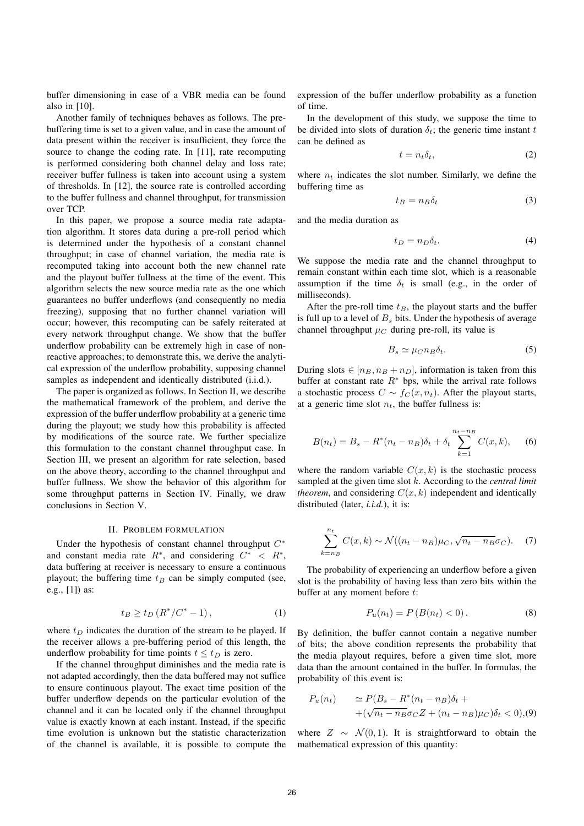buffer dimensioning in case of a VBR media can be found also in [10].

Another family of techniques behaves as follows. The prebuffering time is set to a given value, and in case the amount of data present within the receiver is insufficient, they force the source to change the coding rate. In [11], rate recomputing is performed considering both channel delay and loss rate; receiver buffer fullness is taken into account using a system of thresholds. In [12], the source rate is controlled according to the buffer fullness and channel throughput, for transmission over TCP.

In this paper, we propose a source media rate adaptation algorithm. It stores data during a pre-roll period which is determined under the hypothesis of a constant channel throughput; in case of channel variation, the media rate is recomputed taking into account both the new channel rate and the playout buffer fullness at the time of the event. This algorithm selects the new source media rate as the one which guarantees no buffer underflows (and consequently no media freezing), supposing that no further channel variation will occur; however, this recomputing can be safely reiterated at every network throughput change. We show that the buffer underflow probability can be extremely high in case of nonreactive approaches; to demonstrate this, we derive the analytical expression of the underflow probability, supposing channel samples as independent and identically distributed (i.i.d.).

The paper is organized as follows. In Section II, we describe the mathematical framework of the problem, and derive the expression of the buffer underflow probability at a generic time during the playout; we study how this probability is affected by modifications of the source rate. We further specialize this formulation to the constant channel throughput case. In Section III, we present an algorithm for rate selection, based on the above theory, according to the channel throughput and buffer fullness. We show the behavior of this algorithm for some throughput patterns in Section IV. Finally, we draw conclusions in Section V.

## II. PROBLEM FORMULATION

Under the hypothesis of constant channel throughput  $C^*$ and constant media rate  $R^*$ , and considering  $C^* < R^*$ , data buffering at receiver is necessary to ensure a continuous playout; the buffering time  $t_B$  can be simply computed (see, e.g., [1]) as:

$$
t_B \ge t_D \left( R^* / C^* - 1 \right), \tag{1}
$$

where  $t_D$  indicates the duration of the stream to be played. If the receiver allows a pre-buffering period of this length, the underflow probability for time points  $t \leq t_D$  is zero.

If the channel throughput diminishes and the media rate is not adapted accordingly, then the data buffered may not suffice to ensure continuous playout. The exact time position of the buffer underflow depends on the particular evolution of the channel and it can be located only if the channel throughput value is exactly known at each instant. Instead, if the specific time evolution is unknown but the statistic characterization of the channel is available, it is possible to compute the

expression of the buffer underflow probability as a function of time.

In the development of this study, we suppose the time to be divided into slots of duration  $\delta_t$ ; the generic time instant t can be defined as

$$
t = n_t \delta_t,\tag{2}
$$

where  $n_t$  indicates the slot number. Similarly, we define the buffering time as

$$
t_B = n_B \delta_t \tag{3}
$$

and the media duration as

$$
t_D = n_D \delta_t. \tag{4}
$$

We suppose the media rate and the channel throughput to remain constant within each time slot, which is a reasonable assumption if the time  $\delta_t$  is small (e.g., in the order of milliseconds).

After the pre-roll time  $t_B$ , the playout starts and the buffer is full up to a level of  $B<sub>s</sub>$  bits. Under the hypothesis of average channel throughput  $\mu_C$  during pre-roll, its value is

$$
B_s \simeq \mu_{CDB} \delta_t. \tag{5}
$$

During slots  $\in$  [ $n_B$ ,  $n_B$  +  $n_D$ ], information is taken from this buffer at constant rate  $R^*$  bps, while the arrival rate follows a stochastic process  $C \sim f_C(x, n_t)$ . After the playout starts, at a generic time slot  $n_t$ , the buffer fullness is:

$$
B(n_t) = B_s - R^*(n_t - n_B)\delta_t + \delta_t \sum_{k=1}^{n_t - n_B} C(x, k), \quad (6)
$$

where the random variable  $C(x, k)$  is the stochastic process sampled at the given time slot k. According to the *central limit theorem*, and considering  $C(x, k)$  independent and identically distributed (later, *i.i.d.*), it is:

$$
\sum_{k=n_B}^{n_t} C(x,k) \sim \mathcal{N}((n_t - n_B)\mu_C, \sqrt{n_t - n_B} \sigma_C). \tag{7}
$$

The probability of experiencing an underflow before a given slot is the probability of having less than zero bits within the buffer at any moment before  $t$ :

$$
P_u(n_t) = P(B(n_t) < 0). \tag{8}
$$

By definition, the buffer cannot contain a negative number of bits; the above condition represents the probability that the media playout requires, before a given time slot, more data than the amount contained in the buffer. In formulas, the probability of this event is:

$$
P_u(n_t) \simeq P(B_s - R^*(n_t - n_B)\delta_t + \sqrt{n_t - n_B\sigma_C Z + (n_t - n_B)\mu_C}\delta_t < 0),
$$

where  $Z \sim \mathcal{N}(0, 1)$ . It is straightforward to obtain the mathematical expression of this quantity: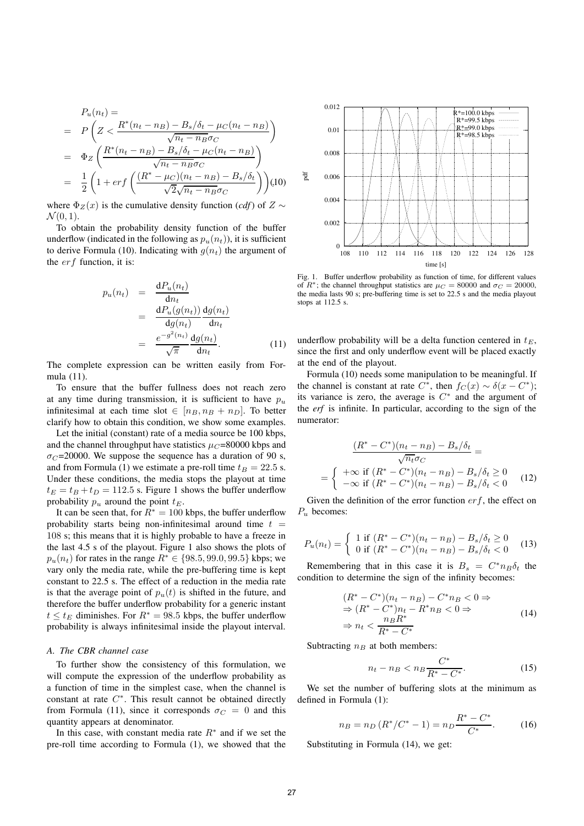$$
P_u(n_t) =
$$
\n
$$
= P\left(Z < \frac{R^*(n_t - n_B) - B_s/\delta_t - \mu_C(n_t - n_B)}{\sqrt{n_t - n_B}\sigma_C}\right)
$$
\n
$$
= \Phi_Z\left(\frac{R^*(n_t - n_B) - B_s/\delta_t - \mu_C(n_t - n_B)}{\sqrt{n_t - n_B}\sigma_C}\right)
$$
\n
$$
= \frac{1}{2}\left(1 + erf\left(\frac{(R^* - \mu_C)(n_t - n_B) - B_s/\delta_t}{\sqrt{2}\sqrt{n_t - n_B}\sigma_C}\right)\right)(10)
$$

where  $\Phi_Z(x)$  is the cumulative density function (*cdf*) of  $Z \sim \mathcal{N}(0, 1)$  $\mathcal{N}(0, 1)$ .

To obtain the probability density function of the buffer underflow (indicated in the following as  $p_u(n_t)$ ), it is sufficient to derive Formula (10). Indicating with  $g(n_t)$  the argument of the  $erf$  function, it is:

$$
p_u(n_t) = \frac{dP_u(n_t)}{dn_t}
$$
  
= 
$$
\frac{dP_u(g(n_t))}{dg(n_t)} \frac{dg(n_t)}{dn_t}
$$
  
= 
$$
\frac{e^{-g^2(n_t)}}{\sqrt{\pi}} \frac{dg(n_t)}{dn_t}.
$$
 (11)

The complete expression can be written easily from Formula (11).

To ensure that the buffer fullness does not reach zero at any time during transmission, it is sufficient to have  $p_u$ infinitesimal at each time slot  $\in$   $[n_B, n_B + n_D]$ . To better clarify how to obtain this condition, we show some examples.

Let the initial (constant) rate of a media source be 100 kbps, and the channel throughput have statistics  $\mu$ <sup> $\text{C}$ </sup>=80000 kbps and  $\sigma_C$ =20000. We suppose the sequence has a duration of 90 s, and from Formula (1) we estimate a pre-roll time  $t_B = 22.5$  s. Under these conditions, the media stops the playout at time  $t_E = t_B + t_D = 112.5$  s. Figure 1 shows the buffer underflow probability  $p_u$  around the point  $t_E$ .

It can be seen that, for  $R^* = 100$  kbps, the buffer underflow probability starts being non-infinitesimal around time  $t =$ 108 s; this means that it is highly probable to have a freeze in the last 4.5 s of the playout. Figure 1 also shows the plots of  $p_u(n_t)$  for rates in the range  $R^* \in \{98.5, 99.0, 99.5\}$  kbps; we vary only the media rate, while the pre-buffering time is kept constant to 22.5 s. The effect of a reduction in the media rate is that the average point of  $p_u(t)$  is shifted in the future, and therefore the buffer underflow probability for a generic instant  $t \le t_E$  diminishes. For  $R^* = 98.5$  kbps, the buffer underflow probability is always infinitesimal inside the playout interval.

## *A. The CBR channel case*

To further show the consistency of this formulation, we will compute the expression of the underflow probability as a function of time in the simplest case, when the channel is constant at rate C<sup>∗</sup>. This result cannot be obtained directly from Formula (11), since it corresponds  $\sigma_C = 0$  and this quantity appears at denominator.

In this case, with constant media rate  $R^*$  and if we set the pre-roll time according to Formula (1), we showed that the



Fig. 1. Buffer underflow probability as function of time, for different values of  $R^*$ ; the channel throughput statistics are  $\mu_C = 80000$  and  $\sigma_C = 20000$ , the media lasts 90 s; pre-buffering time is set to 22.5 s and the media playout stops at 112.5 s.

underflow probability will be a delta function centered in  $t_E$ , since the first and only underflow event will be placed exactly at the end of the playout.

Formula (10) needs some manipulation to be meaningful. If the channel is constant at rate  $C^*$ , then  $f_C(x) \sim \delta(x - C^*)$ ; its variance is zero, the average is  $C^*$  and the argument of the *erf* is infinite. In particular, according to the sign of the numerator:

$$
\frac{(R^* - C^*)(n_t - n_B) - B_s/\delta_t}{\sqrt{n_t} \sigma_C} =
$$
\n
$$
= \begin{cases}\n+\infty & \text{if } (R^* - C^*)(n_t - n_B) - B_s/\delta_t \ge 0 \\
-\infty & \text{if } (R^* - C^*)(n_t - n_B) - B_s/\delta_t < 0\n\end{cases}
$$
\n(12)

Given the definition of the error function  $erf$ , the effect on  $P_u$  becomes:

$$
P_u(n_t) = \begin{cases} 1 \text{ if } (R^* - C^*)(n_t - n_B) - B_s/\delta_t \ge 0\\ 0 \text{ if } (R^* - C^*)(n_t - n_B) - B_s/\delta_t < 0 \end{cases} (13)
$$

Remembering that in this case it is  $B_s = C^* n_B \delta_t$  the condition to determine the sign of the infinity becomes:

$$
(R^* - C^*)(n_t - n_B) - C^*n_B < 0 \Rightarrow
$$
  
\n
$$
\Rightarrow (R^* - C^*)n_t - R^*n_B < 0 \Rightarrow
$$
  
\n
$$
\Rightarrow n_t < \frac{n_B R^*}{R^* - C^*}
$$
\n(14)

Subtracting  $n_B$  at both members:

$$
n_t - n_B < n_B \frac{C^*}{R^* - C^*}.\tag{15}
$$
\nWe set the number of buffering slots at the minimum as

defined in Formula (1):

$$
n_B = n_D (R^*/C^* - 1) = n_D \frac{R^* - C^*}{C^*}.
$$
 (16)

Substituting in Formula (14), we get: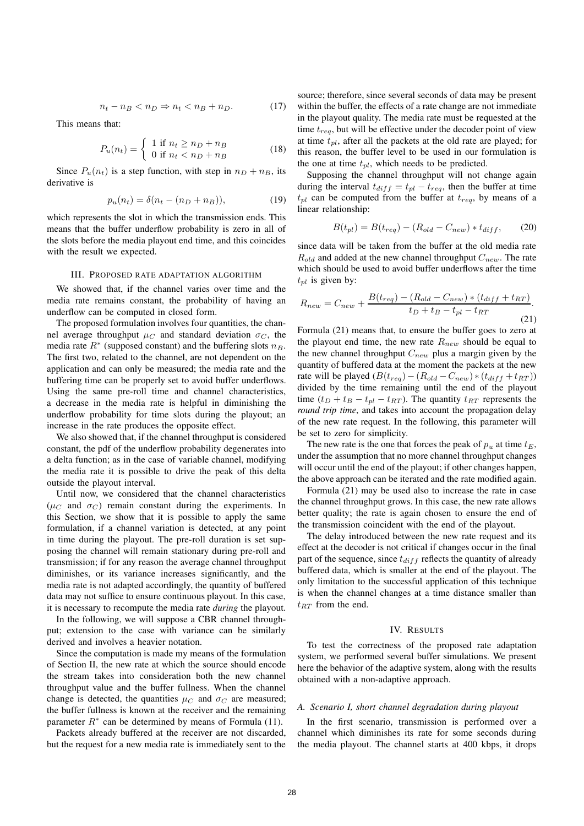$$
n_t - n_B < n_D \Rightarrow n_t < n_B + n_D. \tag{17}
$$

This means that:

$$
P_u(n_t) = \begin{cases} 1 \text{ if } n_t \ge n_D + n_B \\ 0 \text{ if } n_t < n_D + n_B \end{cases} \tag{18}
$$

Since  $P_u(n_t)$  is a step function, with step in  $n_D + n_B$ , its derivative is

$$
p_u(n_t) = \delta(n_t - (n_D + n_B)),
$$
 (19)

which represents the slot in which the transmission ends. This means that the buffer underflow probability is zero in all of the slots before the media playout end time, and this coincides with the result we expected.

### III. PROPOSED RATE ADAPTATION ALGORITHM

We showed that, if the channel varies over time and the media rate remains constant, the probability of having an underflow can be computed in closed form.

The proposed formulation involves four quantities, the channel average throughput  $\mu_C$  and standard deviation  $\sigma_C$ , the media rate  $R^*$  (supposed constant) and the buffering slots  $n_B$ . The first two, related to the channel, are not dependent on the application and can only be measured; the media rate and the buffering time can be properly set to avoid buffer underflows. Using the same pre-roll time and channel characteristics, a decrease in the media rate is helpful in diminishing the underflow probability for time slots during the playout; an increase in the rate produces the opposite effect.

We also showed that, if the channel throughput is considered constant, the pdf of the underflow probability degenerates into a delta function; as in the case of variable channel, modifying the media rate it is possible to drive the peak of this delta outside the playout interval.

Until now, we considered that the channel characteristics ( $\mu_C$  and  $\sigma_C$ ) remain constant during the experiments. In this Section, we show that it is possible to apply the same formulation, if a channel variation is detected, at any point in time during the playout. The pre-roll duration is set supposing the channel will remain stationary during pre-roll and transmission; if for any reason the average channel throughput diminishes, or its variance increases significantly, and the media rate is not adapted accordingly, the quantity of buffered data may not suffice to ensure continuous playout. In this case, it is necessary to recompute the media rate *during* the playout.

In the following, we will suppose a CBR channel throughput; extension to the case with variance can be similarly derived and involves a heavier notation.

Since the computation is made my means of the formulation of Section II, the new rate at which the source should encode the stream takes into consideration both the new channel throughput value and the buffer fullness. When the channel change is detected, the quantities  $\mu_C$  and  $\sigma_C$  are measured; the buffer fullness is known at the receiver and the remaining parameter  $R^*$  can be determined by means of Formula (11).

Packets already buffered at the receiver are not discarded, but the request for a new media rate is immediately sent to the source; therefore, since several seconds of data may be present within the buffer, the effects of a rate change are not immediate in the playout quality. The media rate must be requested at the time  $t_{req}$ , but will be effective under the decoder point of view at time  $t_{pl}$ , after all the packets at the old rate are played; for this reason, the buffer level to be used in our formulation is the one at time  $t_{pl}$ , which needs to be predicted.

Supposing the channel throughput will not change again during the interval  $t_{diff} = t_{pl} - t_{req}$ , then the buffer at time  $t_{pl}$  can be computed from the buffer at  $t_{req}$ , by means of a linear relationship:

$$
B(t_{pl}) = B(t_{req}) - (R_{old} - C_{new}) * t_{diff}, \qquad (20)
$$

since data will be taken from the buffer at the old media rate  $R_{old}$  and added at the new channel throughput  $C_{new}$ . The rate which should be used to avoid buffer underflows after the time  $t_{pl}$  is given by:

$$
R_{new} = C_{new} + \frac{B(t_{req}) - (R_{old} - C_{new}) * (t_{diff} + t_{RT})}{t_D + t_B - t_{pl} - t_{RT}}.
$$
\n(21)

Formula (21) means that, to ensure the buffer goes to zero at the playout end time, the new rate  $R_{new}$  should be equal to the new channel throughput  $C_{new}$  plus a margin given by the quantity of buffered data at the moment the packets at the new rate will be played  $(B(t_{req}) - (R_{old} - C_{new}) * (t_{diff} + t_{RT}))$ divided by the time remaining until the end of the playout time  $(t_D + t_B - t_{pl} - t_{RT})$ . The quantity  $t_{RT}$  represents the *round trip time*, and takes into account the propagation delay of the new rate request. In the following, this parameter will be set to zero for simplicity.

The new rate is the one that forces the peak of  $p_u$  at time  $t_E$ , under the assumption that no more channel throughput changes will occur until the end of the playout; if other changes happen, the above approach can be iterated and the rate modified again.

Formula (21) may be used also to increase the rate in case the channel throughput grows. In this case, the new rate allows better quality; the rate is again chosen to ensure the end of the transmission coincident with the end of the playout.

The delay introduced between the new rate request and its effect at the decoder is not critical if changes occur in the final part of the sequence, since  $t_{diff}$  reflects the quantity of already buffered data, which is smaller at the end of the playout. The only limitation to the successful application of this technique is when the channel changes at a time distance smaller than  $t_{RT}$  from the end.

#### IV. RESULTS

To test the correctness of the proposed rate adaptation system, we performed several buffer simulations. We present here the behavior of the adaptive system, along with the results obtained with a non-adaptive approach.

#### *A. Scenario I, short channel degradation during playout*

In the first scenario, transmission is performed over a channel which diminishes its rate for some seconds during the media playout. The channel starts at 400 kbps, it drops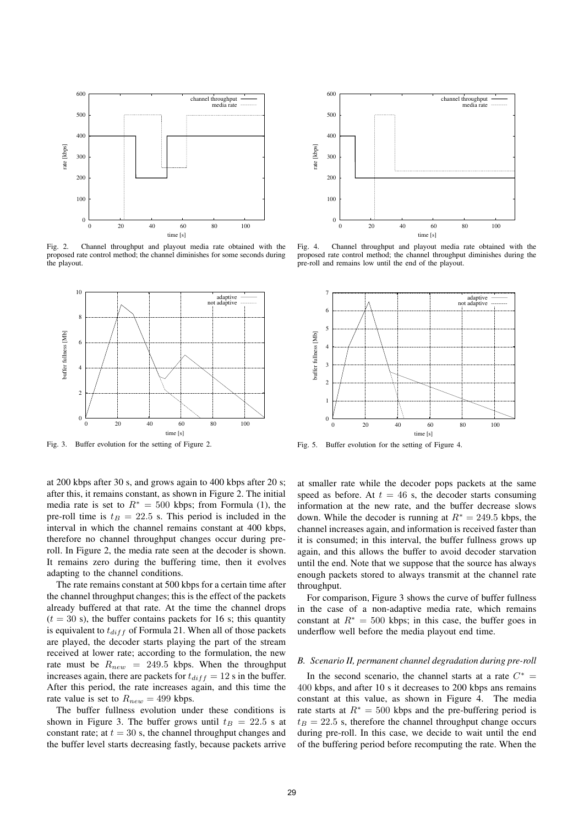

Fig. 2. Channel throughput and playout media rate obtained with the proposed rate control method; the channel diminishes for some seconds during the playout.



Fig. 3. Buffer evolution for the setting of Figure 2.

at 200 kbps after 30 s, and grows again to 400 kbps after 20 s; after this, it remains constant, as shown in Figure 2. The initial media rate is set to  $R^* = 500$  kbps; from Formula (1), the pre-roll time is  $t_B = 22.5$  s. This period is included in the interval in which the channel remains constant at 400 kbps, therefore no channel throughput changes occur during preroll. In Figure 2, the media rate seen at the decoder is shown. It remains zero during the buffering time, then it evolves adapting to the channel conditions.

The rate remains constant at 500 kbps for a certain time after the channel throughput changes; this is the effect of the packets already buffered at that rate. At the time the channel drops  $(t = 30 \text{ s})$ , the buffer contains packets for 16 s; this quantity is equivalent to  $t_{diff}$  of Formula 21. When all of those packets are played, the decoder starts playing the part of the stream received at lower rate; according to the formulation, the new rate must be  $R_{new}$  = 249.5 kbps. When the throughput increases again, there are packets for  $t_{diff} = 12$  s in the buffer. After this period, the rate increases again, and this time the rate value is set to  $R_{new} = 499$  kbps.

The buffer fullness evolution under these conditions is shown in Figure 3. The buffer grows until  $t_B = 22.5$  s at constant rate; at  $t = 30$  s, the channel throughput changes and the buffer level starts decreasing fastly, because packets arrive



Fig. 4. Channel throughput and playout media rate obtained with the proposed rate control method; the channel throughput diminishes during the pre-roll and remains low until the end of the playout.



Fig. 5. Buffer evolution for the setting of Figure 4.

at smaller rate while the decoder pops packets at the same speed as before. At  $t = 46$  s, the decoder starts consuming information at the new rate, and the buffer decrease slows down. While the decoder is running at  $R^* = 249.5$  kbps, the channel increases again, and information is received faster than it is consumed; in this interval, the buffer fullness grows up again, and this allows the buffer to avoid decoder starvation until the end. Note that we suppose that the source has always enough packets stored to always transmit at the channel rate throughput.

For comparison, Figure 3 shows the curve of buffer fullness in the case of a non-adaptive media rate, which remains constant at  $R^* = 500$  kbps; in this case, the buffer goes in underflow well before the media playout end time.

### *B. Scenario II, permanent channel degradation during pre-roll*

In the second scenario, the channel starts at a rate  $C^*$  = 400 kbps, and after 10 s it decreases to 200 kbps ans remains constant at this value, as shown in Figure 4. The media rate starts at  $R^* = 500$  kbps and the pre-buffering period is  $t_B = 22.5$  s, therefore the channel throughput change occurs during pre-roll. In this case, we decide to wait until the end of the buffering period before recomputing the rate. When the